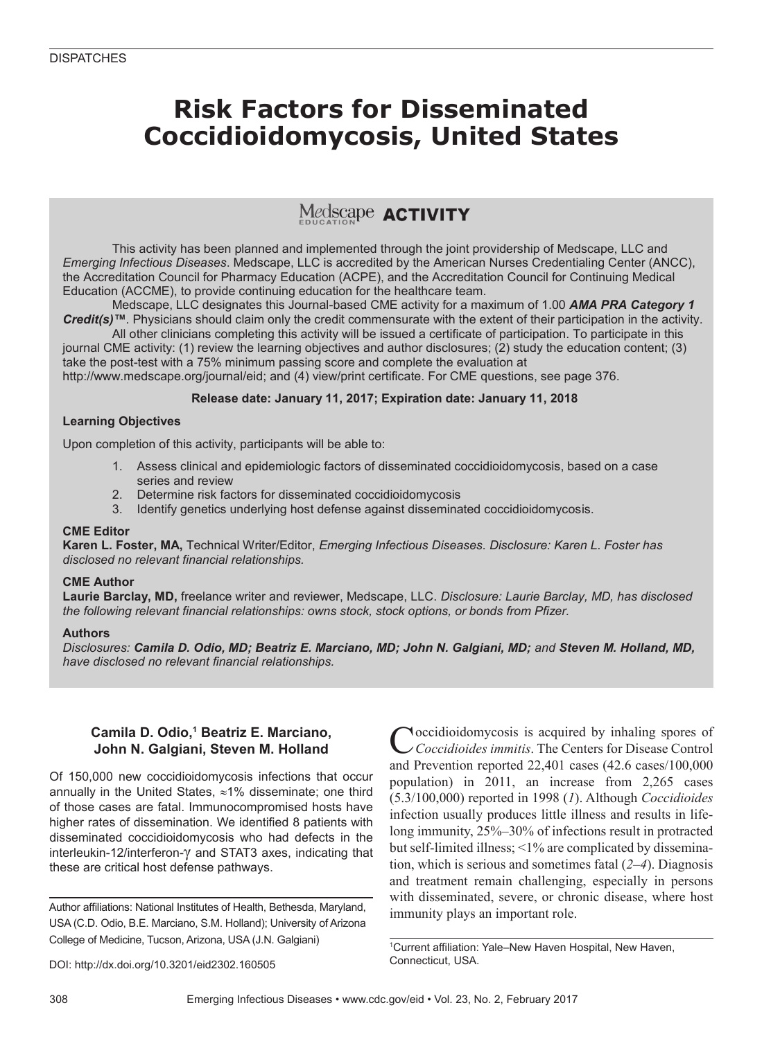## **Risk Factors for Disseminated Coccidioidomycosis, United States**

## Medscape **ACTIVITY**

This activity has been planned and implemented through the joint providership of Medscape, LLC and *Emerging Infectious Diseases*. Medscape, LLC is accredited by the American Nurses Credentialing Center (ANCC), the Accreditation Council for Pharmacy Education (ACPE), and the Accreditation Council for Continuing Medical Education (ACCME), to provide continuing education for the healthcare team.

Medscape, LLC designates this Journal-based CME activity for a maximum of 1.00 *AMA PRA Category 1 Credit(s)™*. Physicians should claim only the credit commensurate with the extent of their participation in the activity.

All other clinicians completing this activity will be issued a certificate of participation. To participate in this journal CME activity: (1) review the learning objectives and author disclosures; (2) study the education content; (3) take the post-test with a 75% minimum passing score and complete the evaluation at

http://www.medscape.org/journal/eid; and (4) view/print certificate. For CME questions, see page 376.

#### **Release date: January 11, 2017; Expiration date: January 11, 2018**

#### **Learning Objectives**

Upon completion of this activity, participants will be able to:

- 1. Assess clinical and epidemiologic factors of disseminated coccidioidomycosis, based on a case series and review
- 2. Determine risk factors for disseminated coccidioidomycosis
- 3. Identify genetics underlying host defense against disseminated coccidioidomycosis.

#### **CME Editor**

**Karen L. Foster, MA,** Technical Writer/Editor, *Emerging Infectious Diseases. Disclosure: Karen L. Foster has disclosed no relevant financial relationships.*

#### **CME Author**

**Laurie Barclay, MD,** freelance writer and reviewer, Medscape, LLC. *Disclosure: Laurie Barclay, MD, has disclosed the following relevant financial relationships: owns stock, stock options, or bonds from Pfizer.*

#### **Authors**

*Disclosures: Camila D. Odio, MD; Beatriz E. Marciano, MD; John N. Galgiani, MD; and Steven M. Holland, MD, have disclosed no relevant financial relationships.*

#### **Camila D. Odio,1 Beatriz E. Marciano, John N. Galgiani, Steven M. Holland**

Of 150,000 new coccidioidomycosis infections that occur annually in the United States, ≈1% disseminate; one third of those cases are fatal. Immunocompromised hosts have higher rates of dissemination. We identified 8 patients with disseminated coccidioidomycosis who had defects in the interleukin-12/interferon-γ and STAT3 axes, indicating that these are critical host defense pathways.

Author affiliations: National Institutes of Health, Bethesda, Maryland, USA (C.D. Odio, B.E. Marciano, S.M. Holland); University of Arizona College of Medicine, Tucson, Arizona, USA (J.N. Galgiani)

Noccidioidomycosis is acquired by inhaling spores of *Coccidioides immitis*. The Centers for Disease Control and Prevention reported 22,401 cases (42.6 cases/100,000 population) in 2011, an increase from 2,265 cases (5.3/100,000) reported in 1998 (*1*). Although *Coccidioides* infection usually produces little illness and results in lifelong immunity, 25%–30% of infections result in protracted but self-limited illness; <1% are complicated by dissemination, which is serious and sometimes fatal (*2*–*4*). Diagnosis and treatment remain challenging, especially in persons with disseminated, severe, or chronic disease, where host immunity plays an important role.

1 Current affiliation: Yale–New Haven Hospital, New Haven, Connecticut, USA.

DOI: http://dx.doi.org/10.3201/eid2302.160505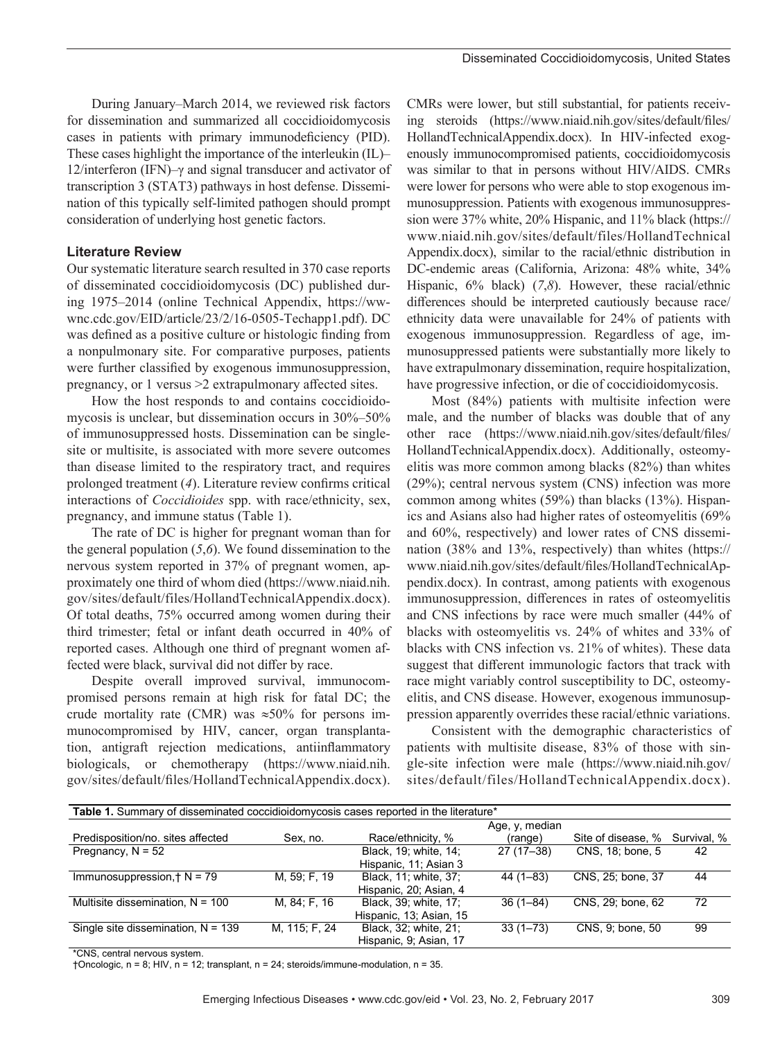During January–March 2014, we reviewed risk factors for dissemination and summarized all coccidioidomycosis cases in patients with primary immunodeficiency (PID). These cases highlight the importance of the interleukin (IL)– 12/interferon (IFN)–γ and signal transducer and activator of transcription 3 (STAT3) pathways in host defense. Dissemination of this typically self-limited pathogen should prompt consideration of underlying host genetic factors.

#### **Literature Review**

Our systematic literature search resulted in 370 case reports of disseminated coccidioidomycosis (DC) published during 1975–2014 (online Technical Appendix, https://wwwnc.cdc.gov/EID/article/23/2/16-0505-Techapp1.pdf). DC was defined as a positive culture or histologic finding from a nonpulmonary site. For comparative purposes, patients were further classified by exogenous immunosuppression, pregnancy, or 1 versus >2 extrapulmonary affected sites.

How the host responds to and contains coccidioidomycosis is unclear, but dissemination occurs in 30%–50% of immunosuppressed hosts. Dissemination can be singlesite or multisite, is associated with more severe outcomes than disease limited to the respiratory tract, and requires prolonged treatment (*4*). Literature review confirms critical interactions of *Coccidioides* spp. with race/ethnicity, sex, pregnancy, and immune status (Table 1).

The rate of DC is higher for pregnant woman than for the general population (*5*,*6*). We found dissemination to the nervous system reported in 37% of pregnant women, approximately one third of whom died (https://www.niaid.nih. gov/sites/default/files/HollandTechnicalAppendix.docx). Of total deaths, 75% occurred among women during their third trimester; fetal or infant death occurred in 40% of reported cases. Although one third of pregnant women affected were black, survival did not differ by race.

Despite overall improved survival, immunocompromised persons remain at high risk for fatal DC; the crude mortality rate (CMR) was  $\approx 50\%$  for persons immunocompromised by HIV, cancer, organ transplantation, antigraft rejection medications, antiinflammatory biologicals, or chemotherapy (https://www.niaid.nih. gov/sites/default/files/HollandTechnicalAppendix.docx).

CMRs were lower, but still substantial, for patients receiving steroids (https://www.niaid.nih.gov/sites/default/files/ HollandTechnicalAppendix.docx). In HIV-infected exogenously immunocompromised patients, coccidioidomycosis was similar to that in persons without HIV/AIDS. CMRs were lower for persons who were able to stop exogenous immunosuppression. Patients with exogenous immunosuppression were 37% white, 20% Hispanic, and 11% black (https:// www.niaid.nih.gov/sites/default/files/HollandTechnical Appendix.docx), similar to the racial/ethnic distribution in DC-endemic areas (California, Arizona: 48% white, 34% Hispanic, 6% black) (*7*,*8*). However, these racial/ethnic differences should be interpreted cautiously because race/ ethnicity data were unavailable for 24% of patients with exogenous immunosuppression. Regardless of age, immunosuppressed patients were substantially more likely to have extrapulmonary dissemination, require hospitalization, have progressive infection, or die of coccidioidomycosis.

Most (84%) patients with multisite infection were male, and the number of blacks was double that of any other race (https://www.niaid.nih.gov/sites/default/files/ HollandTechnicalAppendix.docx). Additionally, osteomyelitis was more common among blacks (82%) than whites (29%); central nervous system (CNS) infection was more common among whites (59%) than blacks (13%). Hispanics and Asians also had higher rates of osteomyelitis (69% and 60%, respectively) and lower rates of CNS dissemination (38% and 13%, respectively) than whites (https:// www.niaid.nih.gov/sites/default/files/HollandTechnicalAppendix.docx). In contrast, among patients with exogenous immunosuppression, differences in rates of osteomyelitis and CNS infections by race were much smaller (44% of blacks with osteomyelitis vs. 24% of whites and 33% of blacks with CNS infection vs. 21% of whites). These data suggest that different immunologic factors that track with race might variably control susceptibility to DC, osteomyelitis, and CNS disease. However, exogenous immunosuppression apparently overrides these racial/ethnic variations.

Consistent with the demographic characteristics of patients with multisite disease, 83% of those with single-site infection were male (https://www.niaid.nih.gov/ sites/default/files/HollandTechnicalAppendix.docx).

| <b>Table 1.</b> Summary of disseminated coccidioidomycosis cases reported in the literature <sup>*</sup> |               |                         |                |                    |             |  |  |  |  |  |
|----------------------------------------------------------------------------------------------------------|---------------|-------------------------|----------------|--------------------|-------------|--|--|--|--|--|
|                                                                                                          |               |                         | Age, y, median |                    |             |  |  |  |  |  |
| Predisposition/no. sites affected                                                                        | Sex, no.      | Race/ethnicity, %       | (range)        | Site of disease, % | Survival, % |  |  |  |  |  |
| Pregnancy, $N = 52$                                                                                      |               | Black, 19; white, 14;   | $27(17-38)$    | CNS, 18; bone, 5   | 42          |  |  |  |  |  |
|                                                                                                          |               | Hispanic, 11; Asian 3   |                |                    |             |  |  |  |  |  |
| Immunosuppression, $\dagger$ N = 79                                                                      | M, 59; F, 19  | Black. 11: white. 37:   | $44(1 - 83)$   | CNS. 25: bone. 37  | 44          |  |  |  |  |  |
|                                                                                                          |               | Hispanic, 20; Asian, 4  |                |                    |             |  |  |  |  |  |
| Multisite dissemination, $N = 100$                                                                       | M, 84; F, 16  | Black, 39; white, 17;   | $36(1 - 84)$   | CNS, 29; bone, 62  | 72          |  |  |  |  |  |
|                                                                                                          |               | Hispanic, 13; Asian, 15 |                |                    |             |  |  |  |  |  |
| Single site dissemination, $N = 139$                                                                     | M, 115; F, 24 | Black, 32; white, 21;   | $33(1 - 73)$   | CNS. 9: bone. 50   | 99          |  |  |  |  |  |
|                                                                                                          |               | Hispanic, 9; Asian, 17  |                |                    |             |  |  |  |  |  |

\*CNS, central nervous system.

†Oncologic, n = 8; HIV, n = 12; transplant, n = 24; steroids/immune-modulation, n = 35.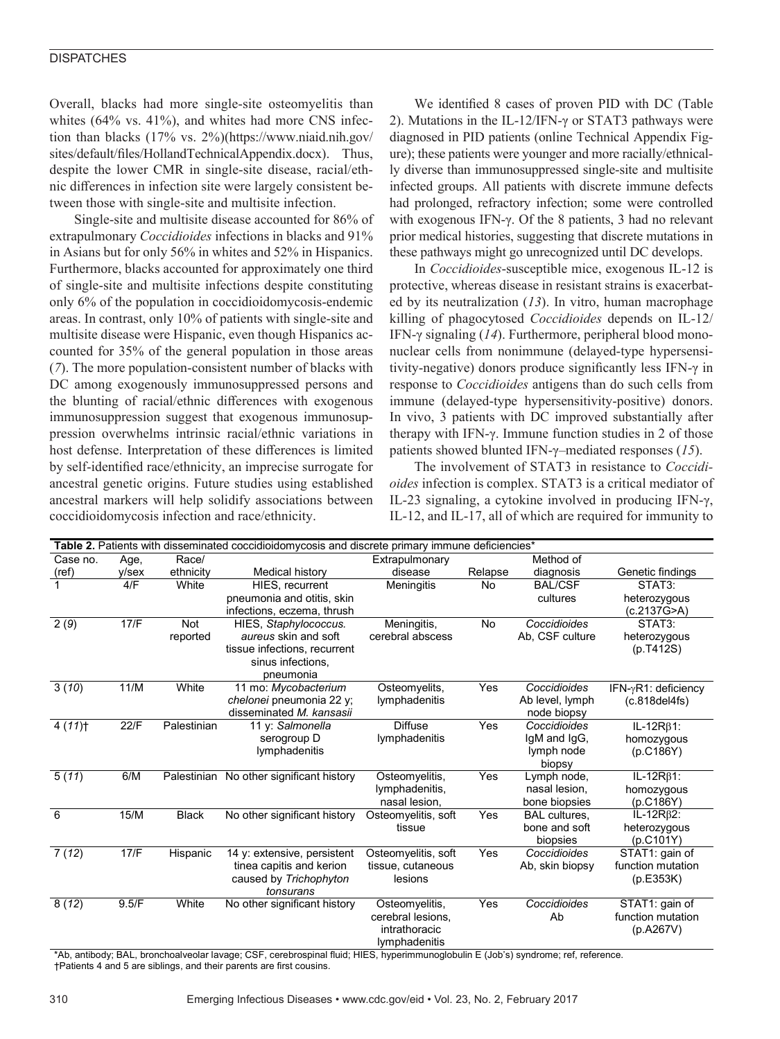#### **DISPATCHES**

Overall, blacks had more single-site osteomyelitis than whites (64% vs. 41%), and whites had more CNS infection than blacks (17% vs. 2%)(https://www.niaid.nih.gov/ sites/default/files/HollandTechnicalAppendix.docx). Thus, despite the lower CMR in single-site disease, racial/ethnic differences in infection site were largely consistent between those with single-site and multisite infection.

Single-site and multisite disease accounted for 86% of extrapulmonary *Coccidioides* infections in blacks and 91% in Asians but for only 56% in whites and 52% in Hispanics. Furthermore, blacks accounted for approximately one third of single-site and multisite infections despite constituting only 6% of the population in coccidioidomycosis-endemic areas. In contrast, only 10% of patients with single-site and multisite disease were Hispanic, even though Hispanics accounted for 35% of the general population in those areas (*7*). The more population-consistent number of blacks with DC among exogenously immunosuppressed persons and the blunting of racial/ethnic differences with exogenous immunosuppression suggest that exogenous immunosuppression overwhelms intrinsic racial/ethnic variations in host defense. Interpretation of these differences is limited by self-identified race/ethnicity, an imprecise surrogate for ancestral genetic origins. Future studies using established ancestral markers will help solidify associations between coccidioidomycosis infection and race/ethnicity.

We identified 8 cases of proven PID with DC (Table 2). Mutations in the IL-12/IFN-γ or STAT3 pathways were diagnosed in PID patients (online Technical Appendix Figure); these patients were younger and more racially/ethnically diverse than immunosuppressed single-site and multisite infected groups. All patients with discrete immune defects had prolonged, refractory infection; some were controlled with exogenous IFN-γ. Of the 8 patients, 3 had no relevant prior medical histories, suggesting that discrete mutations in these pathways might go unrecognized until DC develops.

In *Coccidioides*-susceptible mice, exogenous IL-12 is protective, whereas disease in resistant strains is exacerbated by its neutralization (*13*). In vitro, human macrophage killing of phagocytosed *Coccidioides* depends on IL-12/ IFN-γ signaling (*14*). Furthermore, peripheral blood mononuclear cells from nonimmune (delayed-type hypersensitivity-negative) donors produce significantly less IFN-γ in response to *Coccidioides* antigens than do such cells from immune (delayed-type hypersensitivity-positive) donors. In vivo, 3 patients with DC improved substantially after therapy with IFN-γ. Immune function studies in 2 of those patients showed blunted IFN-γ–mediated responses (*15*).

The involvement of STAT3 in resistance to *Coccidioides* infection is complex. STAT3 is a critical mediator of IL-23 signaling, a cytokine involved in producing IFN-γ, IL-12, and IL-17, all of which are required for immunity to

| Table 2. Patients with disseminated coccidioidomycosis and discrete primary immune deficiencies* |       |              |                                          |                     |           |                            |                        |  |  |
|--------------------------------------------------------------------------------------------------|-------|--------------|------------------------------------------|---------------------|-----------|----------------------------|------------------------|--|--|
| Case no.                                                                                         | Age,  | Race/        |                                          | Extrapulmonary      | Method of |                            |                        |  |  |
| (ref)                                                                                            | y/sex | ethnicity    | Medical history                          | disease             | Relapse   | diagnosis                  | Genetic findings       |  |  |
|                                                                                                  | 4/F   | White        | <b>HIES.</b> recurrent                   | Meningitis          | No        | <b>BAL/CSF</b>             | STAT3:                 |  |  |
|                                                                                                  |       |              | pneumonia and otitis, skin               |                     |           | cultures                   | heterozygous           |  |  |
|                                                                                                  |       |              | infections, eczema, thrush               |                     |           |                            | (c.2137G>A)            |  |  |
| $\overline{2}$ (9)                                                                               | 17/F  | <b>Not</b>   | HIES, Staphylococcus.                    | Meningitis,         | <b>No</b> | Coccidioides               | STAT3:                 |  |  |
|                                                                                                  |       | reported     | aureus skin and soft                     | cerebral abscess    |           | Ab, CSF culture            | heterozygous           |  |  |
|                                                                                                  |       |              | tissue infections, recurrent             |                     |           |                            | (p.T412S)              |  |  |
|                                                                                                  |       |              | sinus infections.                        |                     |           |                            |                        |  |  |
|                                                                                                  |       |              | pneumonia                                |                     |           |                            |                        |  |  |
| 3(10)                                                                                            | 11/M  | White        | 11 mo: Mycobacterium                     | Osteomyelits,       | Yes       | Coccidioides               | IFN-yR1: deficiency    |  |  |
|                                                                                                  |       |              | chelonei pneumonia 22 y;                 | lymphadenitis       |           | Ab level, lymph            | (c.818del4fs)          |  |  |
|                                                                                                  |       |              | disseminated M. kansasii                 |                     |           | node biopsy                |                        |  |  |
| 4(11)                                                                                            | 22/F  | Palestinian  | 11 y: Salmonella                         | <b>Diffuse</b>      | Yes       | Coccidioides               | $IL-12R\beta1$ :       |  |  |
|                                                                                                  |       |              | serogroup D<br>lymphadenitis             | lymphadenitis       |           | IgM and IgG,<br>lymph node | homozygous             |  |  |
|                                                                                                  |       |              |                                          |                     |           | biopsy                     | (p.C186Y)              |  |  |
| 5(11)                                                                                            | 6/M   |              | Palestinian No other significant history | Osteomyelitis,      | Yes       | Lymph node,                | IL-12R <sub>B1</sub> : |  |  |
|                                                                                                  |       |              |                                          | lymphadenitis,      |           | nasal lesion,              | homozygous             |  |  |
|                                                                                                  |       |              |                                          | nasal lesion.       |           | bone biopsies              | (p.C186Y)              |  |  |
| 6                                                                                                | 15/M  | <b>Black</b> | No other significant history             | Osteomyelitis, soft | Yes       | <b>BAL</b> cultures.       | IL-12 $R\beta$ 2:      |  |  |
|                                                                                                  |       |              |                                          | tissue              |           | bone and soft              | heterozygous           |  |  |
|                                                                                                  |       |              |                                          |                     |           | biopsies                   | (p.C101Y)              |  |  |
| 7(12)                                                                                            | 17/F  | Hispanic     | 14 y: extensive, persistent              | Osteomyelitis, soft | Yes       | Coccidioides               | STAT1: gain of         |  |  |
|                                                                                                  |       |              | tinea capitis and kerion                 | tissue, cutaneous   |           | Ab, skin biopsy            | function mutation      |  |  |
|                                                                                                  |       |              | caused by Trichophyton                   | lesions             |           |                            | (p.E353K)              |  |  |
|                                                                                                  |       |              | tonsurans                                |                     |           |                            |                        |  |  |
| 8(12)                                                                                            | 9.5/F | White        | No other significant history             | Osteomyelitis,      | Yes       | Coccidioides               | STAT1: gain of         |  |  |
|                                                                                                  |       |              |                                          | cerebral lesions.   |           | Ab                         | function mutation      |  |  |
|                                                                                                  |       |              |                                          | intrathoracic       |           |                            | (p.A267V)              |  |  |
|                                                                                                  |       |              |                                          | lymphadenitis       |           |                            |                        |  |  |

\*Ab, antibody; BAL, bronchoalveolar lavage; CSF, cerebrospinal fluid; HIES, hyperimmunoglobulin E (Job's) syndrome; ref, reference. †Patients 4 and 5 are siblings, and their parents are first cousins.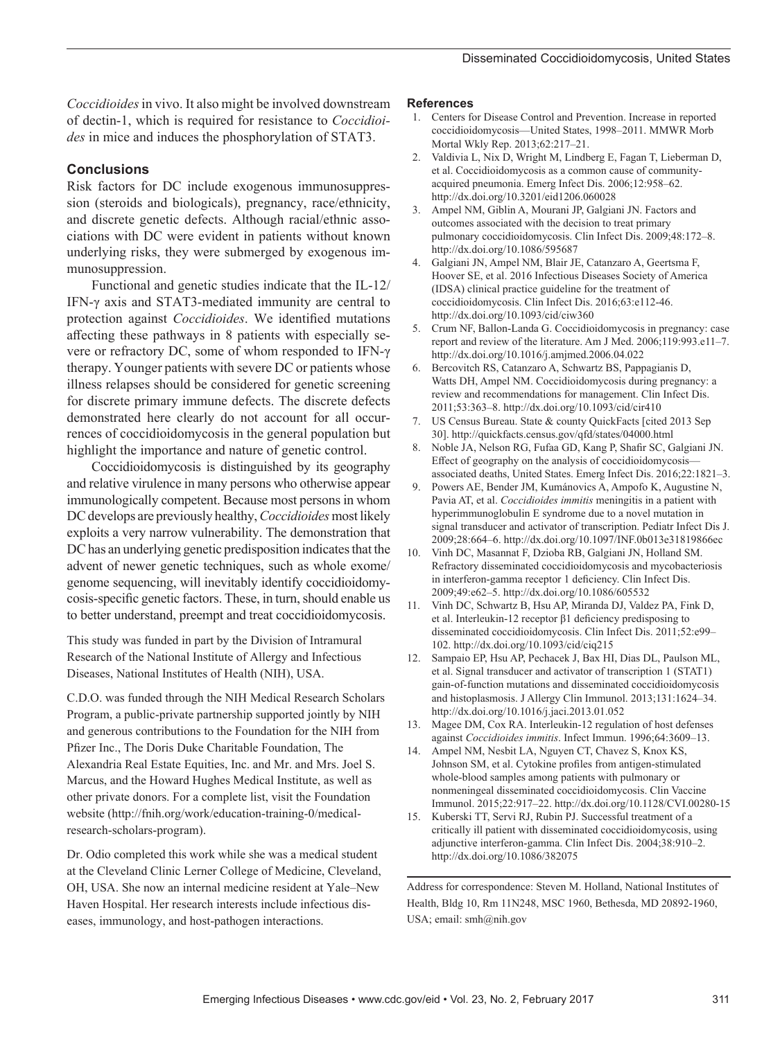*Coccidioides* in vivo. It also might be involved downstream of dectin-1, which is required for resistance to *Coccidioides* in mice and induces the phosphorylation of STAT3.

#### **Conclusions**

Risk factors for DC include exogenous immunosuppression (steroids and biologicals), pregnancy, race/ethnicity, and discrete genetic defects. Although racial/ethnic associations with DC were evident in patients without known underlying risks, they were submerged by exogenous immunosuppression.

Functional and genetic studies indicate that the IL-12/ IFN-γ axis and STAT3-mediated immunity are central to protection against *Coccidioides*. We identified mutations affecting these pathways in 8 patients with especially severe or refractory DC, some of whom responded to IFN-γ therapy. Younger patients with severe DC or patients whose illness relapses should be considered for genetic screening for discrete primary immune defects. The discrete defects demonstrated here clearly do not account for all occurrences of coccidioidomycosis in the general population but highlight the importance and nature of genetic control.

Coccidioidomycosis is distinguished by its geography and relative virulence in many persons who otherwise appear immunologically competent. Because most persons in whom DC develops are previously healthy, *Coccidioides* most likely exploits a very narrow vulnerability. The demonstration that DC has an underlying genetic predisposition indicates that the advent of newer genetic techniques, such as whole exome/ genome sequencing, will inevitably identify coccidioidomycosis-specific genetic factors. These, in turn, should enable us to better understand, preempt and treat coccidioidomycosis.

This study was funded in part by the Division of Intramural Research of the National Institute of Allergy and Infectious Diseases, National Institutes of Health (NIH), USA.

C.D.O. was funded through the NIH Medical Research Scholars Program, a public-private partnership supported jointly by NIH and generous contributions to the Foundation for the NIH from Pfizer Inc., The Doris Duke Charitable Foundation, The Alexandria Real Estate Equities, Inc. and Mr. and Mrs. Joel S. Marcus, and the Howard Hughes Medical Institute, as well as other private donors. For a complete list, visit the Foundation website (http://fnih.org/work/education-training-0/medicalresearch-scholars-program).

Dr. Odio completed this work while she was a medical student at the Cleveland Clinic Lerner College of Medicine, Cleveland, OH, USA. She now an internal medicine resident at Yale–New Haven Hospital. Her research interests include infectious diseases, immunology, and host-pathogen interactions.

#### **References**

- 1. Centers for Disease Control and Prevention. Increase in reported coccidioidomycosis—United States, 1998–2011. MMWR Morb Mortal Wkly Rep. 2013;62:217–21.
- 2. Valdivia L, Nix D, Wright M, Lindberg E, Fagan T, Lieberman D, et al. Coccidioidomycosis as a common cause of communityacquired pneumonia. Emerg Infect Dis. 2006;12:958–62. http://dx.doi.org/10.3201/eid1206.060028
- 3. Ampel NM, Giblin A, Mourani JP, Galgiani JN. Factors and outcomes associated with the decision to treat primary pulmonary coccidioidomycosis. Clin Infect Dis. 2009;48:172–8. http://dx.doi.org/10.1086/595687
- 4. Galgiani JN, Ampel NM, Blair JE, Catanzaro A, Geertsma F, Hoover SE, et al. 2016 Infectious Diseases Society of America (IDSA) clinical practice guideline for the treatment of coccidioidomycosis. Clin Infect Dis. 2016;63:e112-46. http://dx.doi.org/10.1093/cid/ciw360
- 5. Crum NF, Ballon-Landa G. Coccidioidomycosis in pregnancy: case report and review of the literature. Am J Med. 2006;119:993.e11–7. http://dx.doi.org/10.1016/j.amjmed.2006.04.022
- 6. Bercovitch RS, Catanzaro A, Schwartz BS, Pappagianis D, Watts DH, Ampel NM. Coccidioidomycosis during pregnancy: a review and recommendations for management. Clin Infect Dis. 2011;53:363–8. http://dx.doi.org/10.1093/cid/cir410
- 7. US Census Bureau. State & county QuickFacts [cited 2013 Sep 30]. http://quickfacts.census.gov/qfd/states/04000.html
- 8. Noble JA, Nelson RG, Fufaa GD, Kang P, Shafir SC, Galgiani JN. Effect of geography on the analysis of coccidioidomycosis associated deaths, United States. Emerg Infect Dis. 2016;22:1821–3.
- 9. Powers AE, Bender JM, Kumánovics A, Ampofo K, Augustine N, Pavia AT, et al. *Coccidioides immitis* meningitis in a patient with hyperimmunoglobulin E syndrome due to a novel mutation in signal transducer and activator of transcription. Pediatr Infect Dis J. 2009;28:664–6. http://dx.doi.org/10.1097/INF.0b013e31819866ec
- 10. Vinh DC, Masannat F, Dzioba RB, Galgiani JN, Holland SM. Refractory disseminated coccidioidomycosis and mycobacteriosis in interferon-gamma receptor 1 deficiency. Clin Infect Dis. 2009;49:e62–5. http://dx.doi.org/10.1086/605532
- 11. Vinh DC, Schwartz B, Hsu AP, Miranda DJ, Valdez PA, Fink D, et al. Interleukin-12 receptor β1 deficiency predisposing to disseminated coccidioidomycosis. Clin Infect Dis. 2011;52:e99– 102. http://dx.doi.org/10.1093/cid/ciq215
- 12. Sampaio EP, Hsu AP, Pechacek J, Bax HI, Dias DL, Paulson ML, et al. Signal transducer and activator of transcription 1 (STAT1) gain-of-function mutations and disseminated coccidioidomycosis and histoplasmosis. J Allergy Clin Immunol. 2013;131:1624–34. http://dx.doi.org/10.1016/j.jaci.2013.01.052
- 13. Magee DM, Cox RA. Interleukin-12 regulation of host defenses against *Coccidioides immitis*. Infect Immun. 1996;64:3609–13.
- 14. Ampel NM, Nesbit LA, Nguyen CT, Chavez S, Knox KS, Johnson SM, et al. Cytokine profiles from antigen-stimulated whole-blood samples among patients with pulmonary or nonmeningeal disseminated coccidioidomycosis. Clin Vaccine Immunol. 2015;22:917–22. http://dx.doi.org/10.1128/CVI.00280-15
- 15. Kuberski TT, Servi RJ, Rubin PJ. Successful treatment of a critically ill patient with disseminated coccidioidomycosis, using adjunctive interferon-gamma. Clin Infect Dis. 2004;38:910–2. http://dx.doi.org/10.1086/382075

Address for correspondence: Steven M. Holland, National Institutes of Health, Bldg 10, Rm 11N248, MSC 1960, Bethesda, MD 20892-1960, USA; email: smh@nih.gov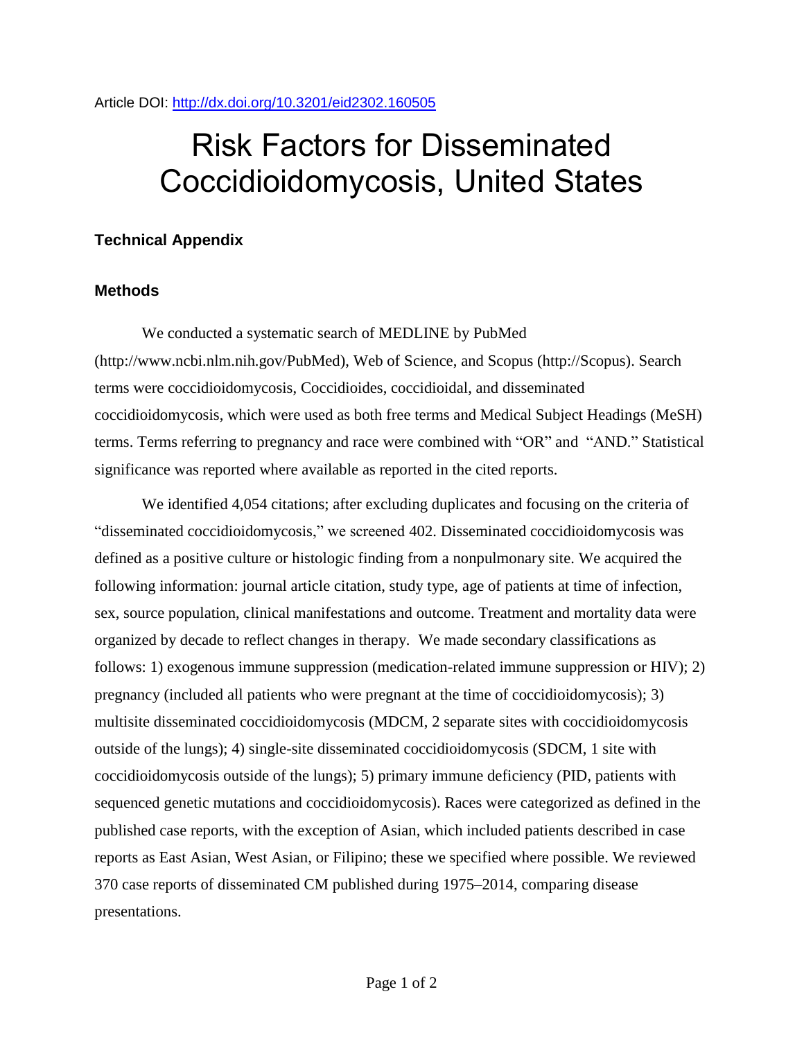Article DOI:<http://dx.doi.org/10.3201/eid2302.160505>

# Risk Factors for Disseminated Coccidioidomycosis, United States

## **Technical Appendix**

### **Methods**

We conducted a systematic search of MEDLINE by PubMed (http://www.ncbi.nlm.nih.gov/PubMed), Web of Science, and Scopus (http://Scopus). Search terms were coccidioidomycosis, Coccidioides, coccidioidal, and disseminated coccidioidomycosis, which were used as both free terms and Medical Subject Headings (MeSH) terms. Terms referring to pregnancy and race were combined with "OR" and "AND." Statistical significance was reported where available as reported in the cited reports.

We identified 4,054 citations; after excluding duplicates and focusing on the criteria of "disseminated coccidioidomycosis," we screened 402. Disseminated coccidioidomycosis was defined as a positive culture or histologic finding from a nonpulmonary site. We acquired the following information: journal article citation, study type, age of patients at time of infection, sex, source population, clinical manifestations and outcome. Treatment and mortality data were organized by decade to reflect changes in therapy. We made secondary classifications as follows: 1) exogenous immune suppression (medication-related immune suppression or HIV); 2) pregnancy (included all patients who were pregnant at the time of coccidioidomycosis); 3) multisite disseminated coccidioidomycosis (MDCM, 2 separate sites with coccidioidomycosis outside of the lungs); 4) single-site disseminated coccidioidomycosis (SDCM, 1 site with coccidioidomycosis outside of the lungs); 5) primary immune deficiency (PID, patients with sequenced genetic mutations and coccidioidomycosis). Races were categorized as defined in the published case reports, with the exception of Asian, which included patients described in case reports as East Asian, West Asian, or Filipino; these we specified where possible. We reviewed 370 case reports of disseminated CM published during 1975–2014, comparing disease presentations.